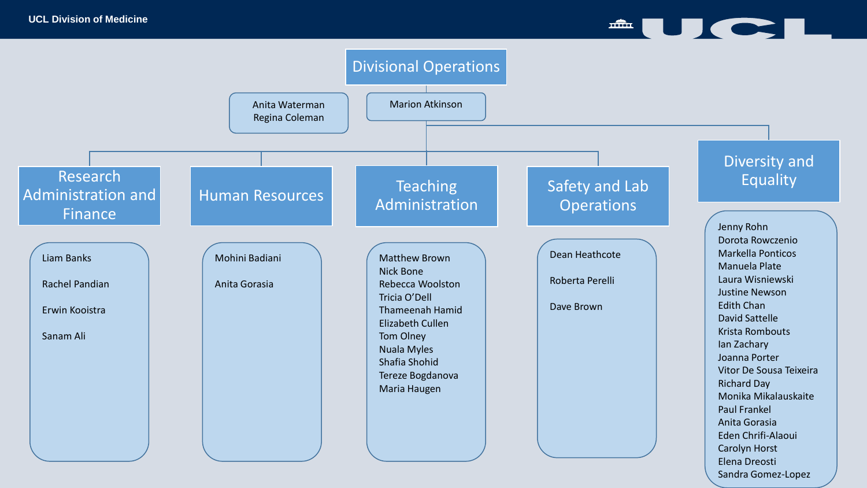$\triangle$  to  $\triangle$  to  $\triangle$  to  $\triangle$ 

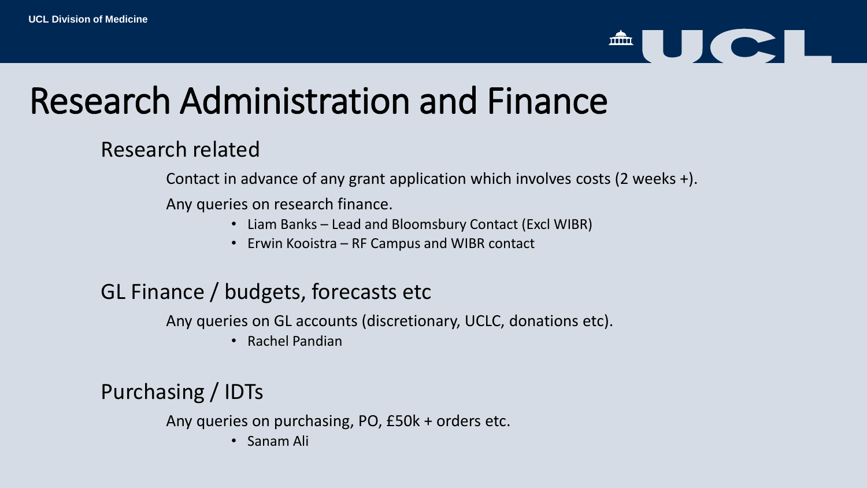# $\triangle$  U C I

## Research Administration and Finance

### Research related

Contact in advance of any grant application which involves costs (2 weeks +).

Any queries on research finance.

- Liam Banks Lead and Bloomsbury Contact (Excl WIBR)
- Erwin Kooistra RF Campus and WIBR contact

## GL Finance / budgets, forecasts etc

Any queries on GL accounts (discretionary, UCLC, donations etc).

• Rachel Pandian

## Purchasing / IDTs

Any queries on purchasing, PO, £50k + orders etc.

• Sanam Ali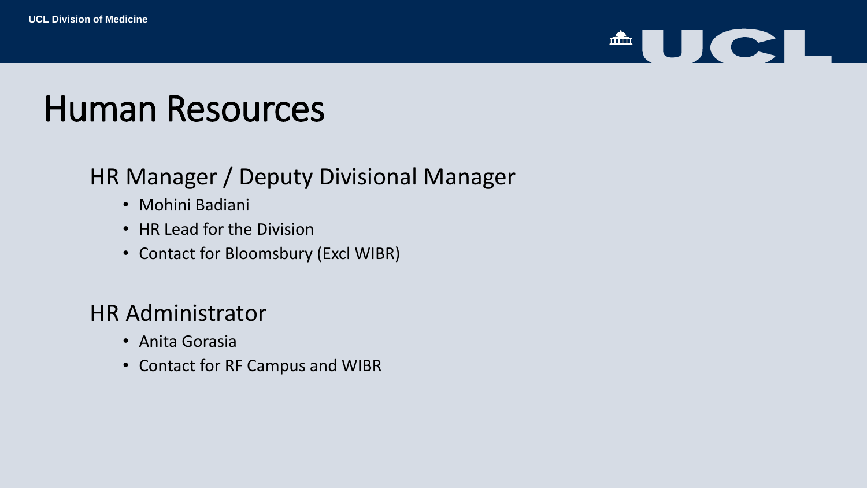

## Human Resources

## HR Manager / Deputy Divisional Manager

- Mohini Badiani
- HR Lead for the Division
- Contact for Bloomsbury (Excl WIBR)

## HR Administrator

- Anita Gorasia
- Contact for RF Campus and WIBR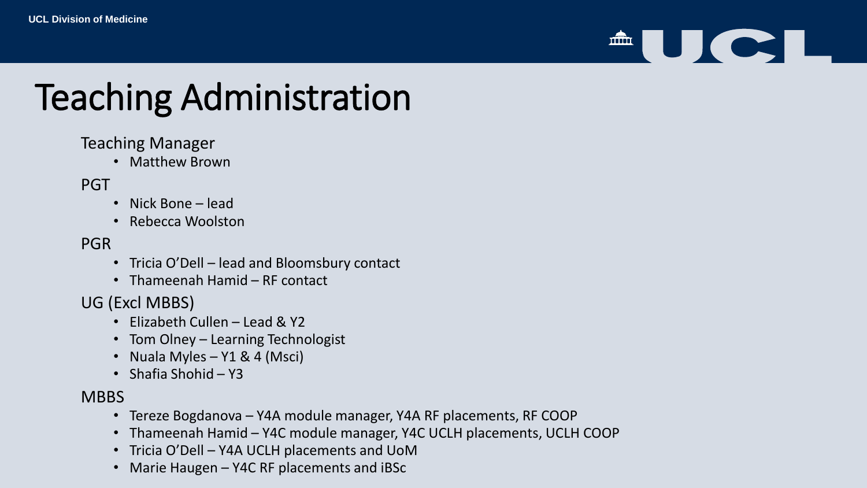# <sup>A</sup>UCI

## Teaching Administration

#### Teaching Manager

• Matthew Brown

#### PGT

- Nick Bone lead
- Rebecca Woolston

#### PGR

- Tricia O'Dell lead and Bloomsbury contact
- Thameenah Hamid RF contact

#### UG (Excl MBBS)

- Elizabeth Cullen Lead & Y2
- Tom Olney Learning Technologist
- Nuala Myles  $Y1 & 4$  (Msci)
- Shafia Shohid Y3

#### **MBBS**

- Tereze Bogdanova Y4A module manager, Y4A RF placements, RF COOP
- Thameenah Hamid Y4C module manager, Y4C UCLH placements, UCLH COOP
- Tricia O'Dell Y4A UCLH placements and UoM
- Marie Haugen Y4C RF placements and iBSc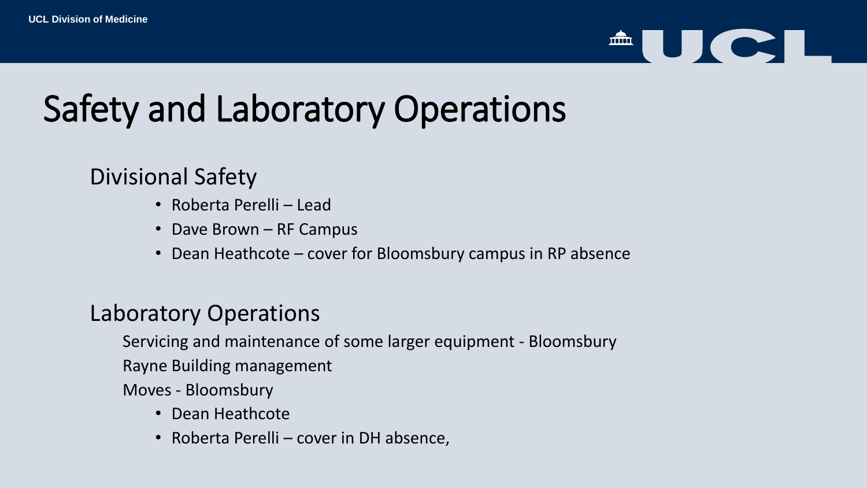

## Safety and Laboratory Operations

### Divisional Safety

- Roberta Perelli Lead
- Dave Brown RF Campus
- Dean Heathcote cover for Bloomsbury campus in RP absence

### Laboratory Operations

Servicing and maintenance of some larger equipment - Bloomsbury

Rayne Building management

Moves - Bloomsbury

- Dean Heathcote
- Roberta Perelli cover in DH absence,